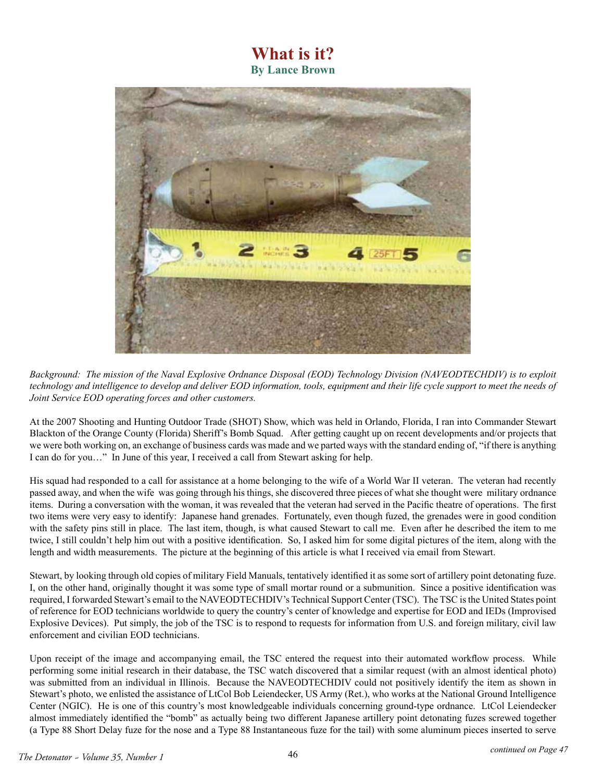## **What is it? By Lance Brown**



*Background: The mission of the Naval Explosive Ordnance Disposal (EOD) Technology Division (NAVEODTECHDIV) is to exploit technology and intelligence to develop and deliver EOD information, tools, equipment and their life cycle support to meet the needs of Joint Service EOD operating forces and other customers.*

At the 2007 Shooting and Hunting Outdoor Trade (SHOT) Show, which was held in Orlando, Florida, I ran into Commander Stewart Blackton of the Orange County (Florida) Sheriff's Bomb Squad. After getting caught up on recent developments and/or projects that we were both working on, an exchange of business cards was made and we parted ways with the standard ending of, "if there is anything I can do for you…" In June of this year, I received a call from Stewart asking for help.

His squad had responded to a call for assistance at a home belonging to the wife of a World War II veteran. The veteran had recently passed away, and when the wife was going through his things, she discovered three pieces of what she thought were military ordnance items. During a conversation with the woman, it was revealed that the veteran had served in the Pacific theatre of operations. The first two items were very easy to identify: Japanese hand grenades. Fortunately, even though fuzed, the grenades were in good condition with the safety pins still in place. The last item, though, is what caused Stewart to call me. Even after he described the item to me twice, I still couldn't help him out with a positive identification. So, I asked him for some digital pictures of the item, along with the length and width measurements. The picture at the beginning of this article is what I received via email from Stewart.

Stewart, by looking through old copies of military Field Manuals, tentatively identified it as some sort of artillery point detonating fuze. I, on the other hand, originally thought it was some type of small mortar round or a submunition. Since a positive identification was required, I forwarded Stewart's email to the NAVEODTECHDIV's Technical Support Center (TSC). The TSC is the United States point of reference for EOD technicians worldwide to query the country's center of knowledge and expertise for EOD and IEDs (Improvised Explosive Devices). Put simply, the job of the TSC is to respond to requests for information from U.S. and foreign military, civil law enforcement and civilian EOD technicians.

Upon receipt of the image and accompanying email, the TSC entered the request into their automated workflow process. While performing some initial research in their database, the TSC watch discovered that a similar request (with an almost identical photo) was submitted from an individual in Illinois. Because the NAVEODTECHDIV could not positively identify the item as shown in Stewart's photo, we enlisted the assistance of LtCol Bob Leiendecker, US Army (Ret.), who works at the National Ground Intelligence Center (NGIC). He is one of this country's most knowledgeable individuals concerning ground-type ordnance. LtCol Leiendecker almost immediately identified the "bomb" as actually being two different Japanese artillery point detonating fuzes screwed together (a Type 88 Short Delay fuze for the nose and a Type 88 Instantaneous fuze for the tail) with some aluminum pieces inserted to serve